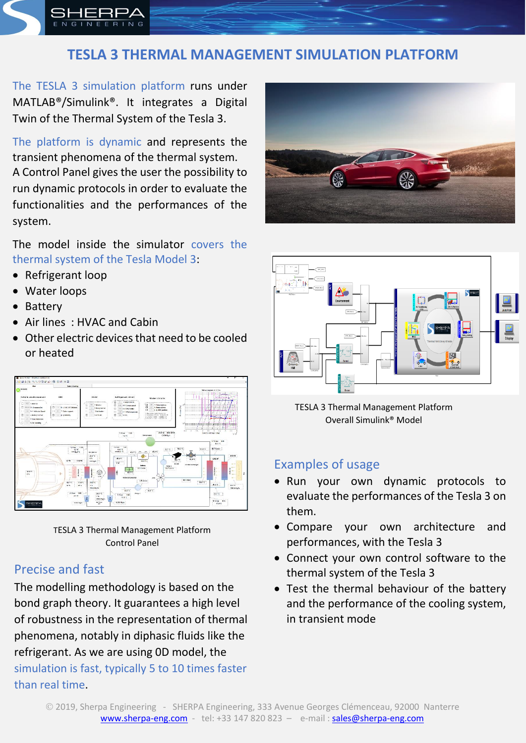

# **TESLA 3 THERMAL MANAGEMENT SIMULATION PLATFORM**

The TESLA 3 simulation platform runs under MATLAB®/Simulink®. It integrates a Digital Twin of the Thermal System of the Tesla 3.

The platform is dynamic and represents the transient phenomena of the thermal system. A Control Panel gives the user the possibility to run dynamic protocols in order to evaluate the functionalities and the performances of the system.

The model inside the simulator covers the thermal system of the Tesla Model 3:

- Refrigerant loop
- Water loops
- Battery
- Air lines: HVAC and Cabin
- Other electric devices that need to be cooled or heated





## Precise and fast

The modelling methodology is based on the bond graph theory. It guarantees a high level of robustness in the representation of thermal phenomena, notably in diphasic fluids like the refrigerant. As we are using 0D model, the simulation is fast, typically 5 to 10 times faster than real time.





TESLA 3 Thermal Management Platform Overall Simulink® Model

## Examples of usage

- Run your own dynamic protocols to evaluate the performances of the Tesla 3 on them.
- Compare your own architecture and performances, with the Tesla 3
- Connect your own control software to the thermal system of the Tesla 3
- Test the thermal behaviour of the battery and the performance of the cooling system, in transient mode